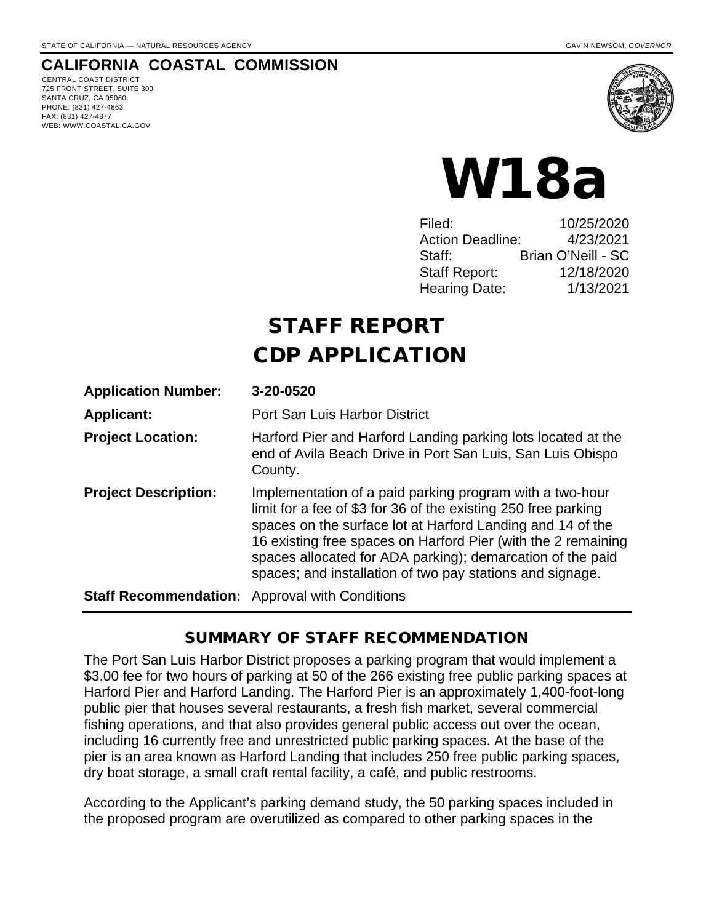#### **CALIFORNIA COASTAL COMMISSION**

CENTRAL COAST DISTRICT 725 FRONT STREET, SUITE 300 SANTA CRUZ, CA 95060 PHONE: (831) 427-4863 FAX: (831) 427-4877 WEB: WWW.COASTAL.CA.GOV



# W18a

| Filed:                  | 10/25/2020         |
|-------------------------|--------------------|
| <b>Action Deadline:</b> | 4/23/2021          |
| Staff:                  | Brian O'Neill - SC |
| <b>Staff Report:</b>    | 12/18/2020         |
| <b>Hearing Date:</b>    | 1/13/2021          |

# STAFF REPORT CDP APPLICATION

| <b>Application Number:</b>                            | 3-20-0520                                                                                                                                                                                                                                                                                                                                                                            |
|-------------------------------------------------------|--------------------------------------------------------------------------------------------------------------------------------------------------------------------------------------------------------------------------------------------------------------------------------------------------------------------------------------------------------------------------------------|
| <b>Applicant:</b>                                     | Port San Luis Harbor District                                                                                                                                                                                                                                                                                                                                                        |
| <b>Project Location:</b>                              | Harford Pier and Harford Landing parking lots located at the<br>end of Avila Beach Drive in Port San Luis, San Luis Obispo<br>County.                                                                                                                                                                                                                                                |
| <b>Project Description:</b>                           | Implementation of a paid parking program with a two-hour<br>limit for a fee of \$3 for 36 of the existing 250 free parking<br>spaces on the surface lot at Harford Landing and 14 of the<br>16 existing free spaces on Harford Pier (with the 2 remaining<br>spaces allocated for ADA parking); demarcation of the paid<br>spaces; and installation of two pay stations and signage. |
| <b>Staff Recommendation:</b> Approval with Conditions |                                                                                                                                                                                                                                                                                                                                                                                      |

#### SUMMARY OF STAFF RECOMMENDATION

The Port San Luis Harbor District proposes a parking program that would implement a \$3.00 fee for two hours of parking at 50 of the 266 existing free public parking spaces at Harford Pier and Harford Landing. The Harford Pier is an approximately 1,400-foot-long public pier that houses several restaurants, a fresh fish market, several commercial fishing operations, and that also provides general public access out over the ocean, including 16 currently free and unrestricted public parking spaces. At the base of the pier is an area known as Harford Landing that includes 250 free public parking spaces, dry boat storage, a small craft rental facility, a café, and public restrooms.

According to the Applicant's parking demand study, the 50 parking spaces included in the proposed program are overutilized as compared to other parking spaces in the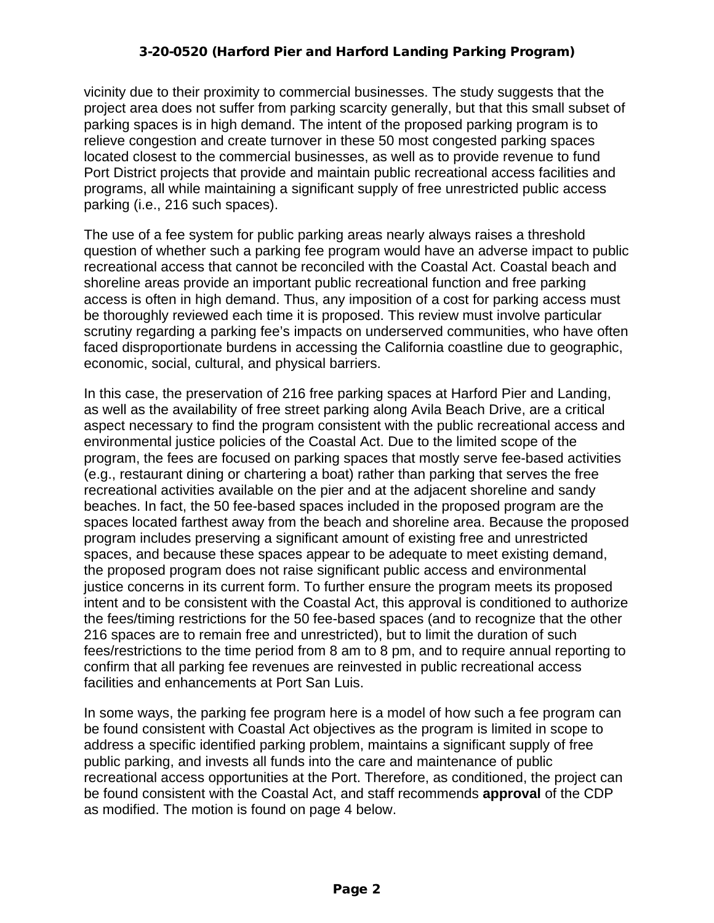vicinity due to their proximity to commercial businesses. The study suggests that the project area does not suffer from parking scarcity generally, but that this small subset of parking spaces is in high demand. The intent of the proposed parking program is to relieve congestion and create turnover in these 50 most congested parking spaces located closest to the commercial businesses, as well as to provide revenue to fund Port District projects that provide and maintain public recreational access facilities and programs, all while maintaining a significant supply of free unrestricted public access parking (i.e., 216 such spaces).

The use of a fee system for public parking areas nearly always raises a threshold question of whether such a parking fee program would have an adverse impact to public recreational access that cannot be reconciled with the Coastal Act. Coastal beach and shoreline areas provide an important public recreational function and free parking access is often in high demand. Thus, any imposition of a cost for parking access must be thoroughly reviewed each time it is proposed. This review must involve particular scrutiny regarding a parking fee's impacts on underserved communities, who have often faced disproportionate burdens in accessing the California coastline due to geographic, economic, social, cultural, and physical barriers.

In this case, the preservation of 216 free parking spaces at Harford Pier and Landing, as well as the availability of free street parking along Avila Beach Drive, are a critical aspect necessary to find the program consistent with the public recreational access and environmental justice policies of the Coastal Act. Due to the limited scope of the program, the fees are focused on parking spaces that mostly serve fee-based activities (e.g., restaurant dining or chartering a boat) rather than parking that serves the free recreational activities available on the pier and at the adjacent shoreline and sandy beaches. In fact, the 50 fee-based spaces included in the proposed program are the spaces located farthest away from the beach and shoreline area. Because the proposed program includes preserving a significant amount of existing free and unrestricted spaces, and because these spaces appear to be adequate to meet existing demand, the proposed program does not raise significant public access and environmental justice concerns in its current form. To further ensure the program meets its proposed intent and to be consistent with the Coastal Act, this approval is conditioned to authorize the fees/timing restrictions for the 50 fee-based spaces (and to recognize that the other 216 spaces are to remain free and unrestricted), but to limit the duration of such fees/restrictions to the time period from 8 am to 8 pm, and to require annual reporting to confirm that all parking fee revenues are reinvested in public recreational access facilities and enhancements at Port San Luis.

In some ways, the parking fee program here is a model of how such a fee program can be found consistent with Coastal Act objectives as the program is limited in scope to address a specific identified parking problem, maintains a significant supply of free public parking, and invests all funds into the care and maintenance of public recreational access opportunities at the Port. Therefore, as conditioned, the project can be found consistent with the Coastal Act, and staff recommends **approval** of the CDP as modified. The motion is found on page 4 below.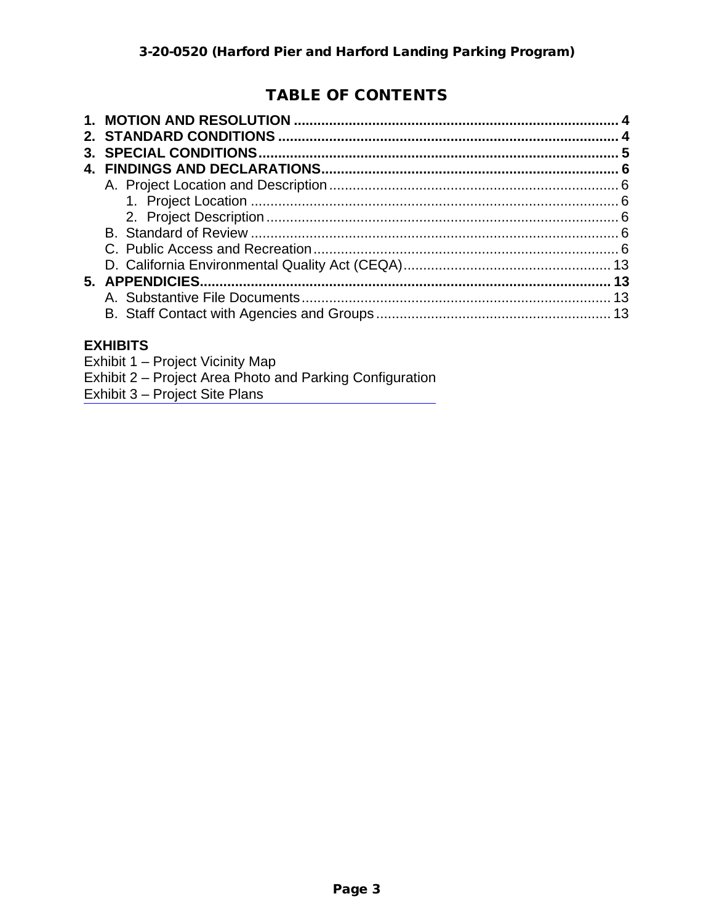# TABLE OF CONTENTS

| 3. |  |
|----|--|
|    |  |
|    |  |
|    |  |
|    |  |
|    |  |
|    |  |
|    |  |
|    |  |
|    |  |
|    |  |
|    |  |

#### **EXHIBITS**

[Exhibit 1 – Project Vicinity Map](https://documents.coastal.ca.gov/reports/2021/1/w18a/w18a-1-2021-exhibits.pdf)

- Exhibit 2 Project Area Photo and Parking Configuration
- Exhibit 3 Project Site Plans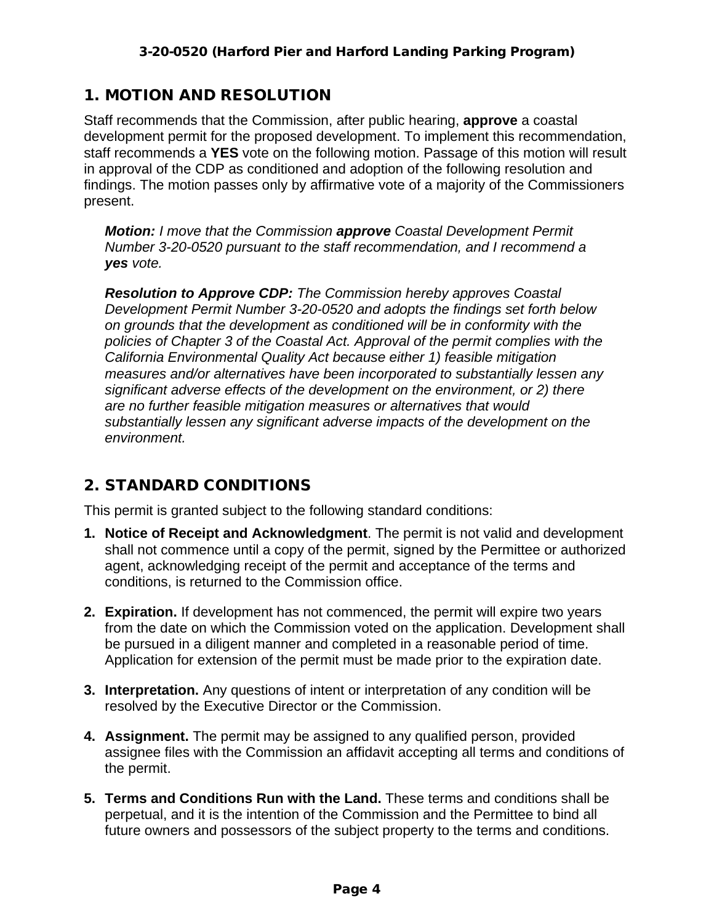### 1. MOTION AND RESOLUTION

Staff recommends that the Commission, after public hearing, **approve** a coastal development permit for the proposed development. To implement this recommendation, staff recommends a **YES** vote on the following motion. Passage of this motion will result in approval of the CDP as conditioned and adoption of the following resolution and findings. The motion passes only by affirmative vote of a majority of the Commissioners present.

*Motion: I move that the Commission approve Coastal Development Permit Number 3-20-0520 pursuant to the staff recommendation, and I recommend a yes vote.* 

*Resolution to Approve CDP: The Commission hereby approves Coastal Development Permit Number 3-20-0520 and adopts the findings set forth below on grounds that the development as conditioned will be in conformity with the policies of Chapter 3 of the Coastal Act. Approval of the permit complies with the California Environmental Quality Act because either 1) feasible mitigation measures and/or alternatives have been incorporated to substantially lessen any significant adverse effects of the development on the environment, or 2) there are no further feasible mitigation measures or alternatives that would substantially lessen any significant adverse impacts of the development on the environment.*

# 2. STANDARD CONDITIONS

This permit is granted subject to the following standard conditions:

- **1. Notice of Receipt and Acknowledgment**. The permit is not valid and development shall not commence until a copy of the permit, signed by the Permittee or authorized agent, acknowledging receipt of the permit and acceptance of the terms and conditions, is returned to the Commission office.
- **2. Expiration.** If development has not commenced, the permit will expire two years from the date on which the Commission voted on the application. Development shall be pursued in a diligent manner and completed in a reasonable period of time. Application for extension of the permit must be made prior to the expiration date.
- **3. Interpretation.** Any questions of intent or interpretation of any condition will be resolved by the Executive Director or the Commission.
- **4. Assignment.** The permit may be assigned to any qualified person, provided assignee files with the Commission an affidavit accepting all terms and conditions of the permit.
- **5. Terms and Conditions Run with the Land.** These terms and conditions shall be perpetual, and it is the intention of the Commission and the Permittee to bind all future owners and possessors of the subject property to the terms and conditions.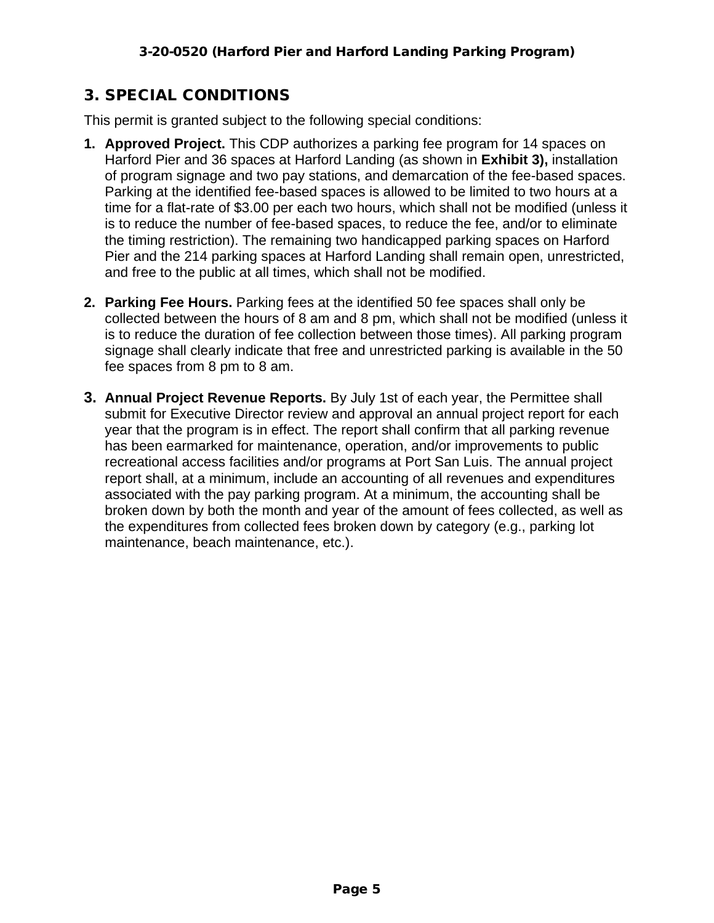# 3. SPECIAL CONDITIONS

This permit is granted subject to the following special conditions:

- **1. Approved Project.** This CDP authorizes a parking fee program for 14 spaces on Harford Pier and 36 spaces at Harford Landing (as shown in **Exhibit 3),** installation of program signage and two pay stations, and demarcation of the fee-based spaces. Parking at the identified fee-based spaces is allowed to be limited to two hours at a time for a flat-rate of \$3.00 per each two hours, which shall not be modified (unless it is to reduce the number of fee-based spaces, to reduce the fee, and/or to eliminate the timing restriction). The remaining two handicapped parking spaces on Harford Pier and the 214 parking spaces at Harford Landing shall remain open, unrestricted, and free to the public at all times, which shall not be modified.
- **2. Parking Fee Hours.** Parking fees at the identified 50 fee spaces shall only be collected between the hours of 8 am and 8 pm, which shall not be modified (unless it is to reduce the duration of fee collection between those times). All parking program signage shall clearly indicate that free and unrestricted parking is available in the 50 fee spaces from 8 pm to 8 am.
- **3. Annual Project Revenue Reports.** By July 1st of each year, the Permittee shall submit for Executive Director review and approval an annual project report for each year that the program is in effect. The report shall confirm that all parking revenue has been earmarked for maintenance, operation, and/or improvements to public recreational access facilities and/or programs at Port San Luis. The annual project report shall, at a minimum, include an accounting of all revenues and expenditures associated with the pay parking program. At a minimum, the accounting shall be broken down by both the month and year of the amount of fees collected, as well as the expenditures from collected fees broken down by category (e.g., parking lot maintenance, beach maintenance, etc.).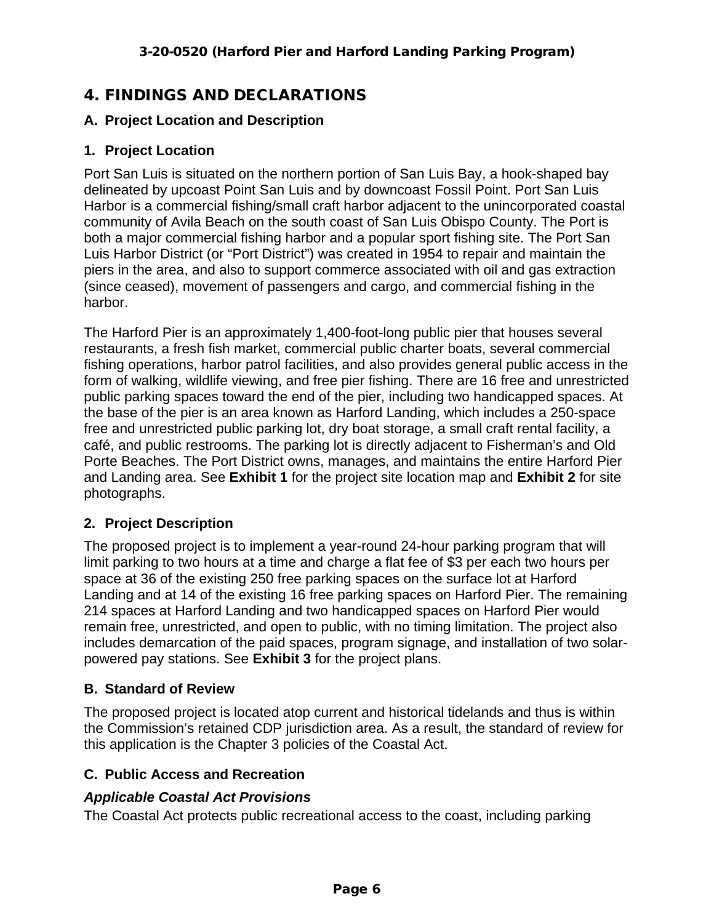# 4. FINDINGS AND DECLARATIONS

#### **A. Project Location and Description**

#### **1. Project Location**

Port San Luis is situated on the northern portion of San Luis Bay, a hook-shaped bay delineated by upcoast Point San Luis and by downcoast Fossil Point. Port San Luis Harbor is a commercial fishing/small craft harbor adjacent to the unincorporated coastal community of Avila Beach on the south coast of San Luis Obispo County. The Port is both a major commercial fishing harbor and a popular sport fishing site. The Port San Luis Harbor District (or "Port District") was created in 1954 to repair and maintain the piers in the area, and also to support commerce associated with oil and gas extraction (since ceased), movement of passengers and cargo, and commercial fishing in the harbor.

The Harford Pier is an approximately 1,400-foot-long public pier that houses several restaurants, a fresh fish market, commercial public charter boats, several commercial fishing operations, harbor patrol facilities, and also provides general public access in the form of walking, wildlife viewing, and free pier fishing. There are 16 free and unrestricted public parking spaces toward the end of the pier, including two handicapped spaces. At the base of the pier is an area known as Harford Landing, which includes a 250-space free and unrestricted public parking lot, dry boat storage, a small craft rental facility, a café, and public restrooms. The parking lot is directly adjacent to Fisherman's and Old Porte Beaches. The Port District owns, manages, and maintains the entire Harford Pier and Landing area. See **Exhibit 1** for the project site location map and **Exhibit 2** for site photographs.

#### **2. Project Description**

The proposed project is to implement a year-round 24-hour parking program that will limit parking to two hours at a time and charge a flat fee of \$3 per each two hours per space at 36 of the existing 250 free parking spaces on the surface lot at Harford Landing and at 14 of the existing 16 free parking spaces on Harford Pier. The remaining 214 spaces at Harford Landing and two handicapped spaces on Harford Pier would remain free, unrestricted, and open to public, with no timing limitation. The project also includes demarcation of the paid spaces, program signage, and installation of two solarpowered pay stations. See **Exhibit 3** for the project plans.

#### **B. Standard of Review**

The proposed project is located atop current and historical tidelands and thus is within the Commission's retained CDP jurisdiction area. As a result, the standard of review for this application is the Chapter 3 policies of the Coastal Act.

#### **C. Public Access and Recreation**

#### *Applicable Coastal Act Provisions*

The Coastal Act protects public recreational access to the coast, including parking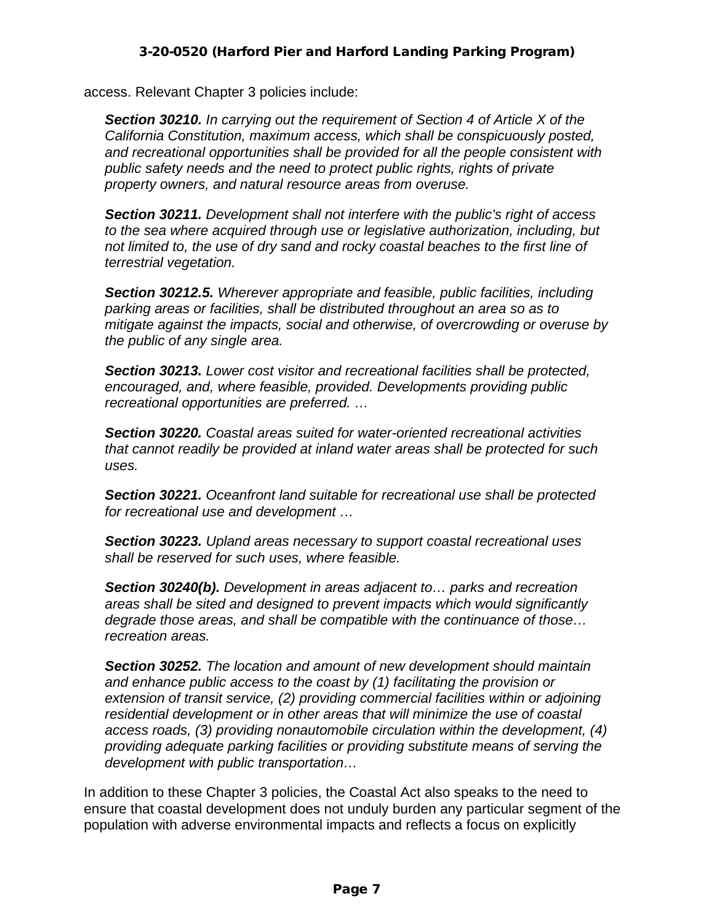access. Relevant Chapter 3 policies include:

*Section 30210. In carrying out the requirement of Section 4 of Article X of the California Constitution, maximum access, which shall be conspicuously posted, and recreational opportunities shall be provided for all the people consistent with public safety needs and the need to protect public rights, rights of private property owners, and natural resource areas from overuse.* 

*Section 30211. Development shall not interfere with the public's right of access to the sea where acquired through use or legislative authorization, including, but not limited to, the use of dry sand and rocky coastal beaches to the first line of terrestrial vegetation.* 

*Section 30212.5. Wherever appropriate and feasible, public facilities, including parking areas or facilities, shall be distributed throughout an area so as to mitigate against the impacts, social and otherwise, of overcrowding or overuse by the public of any single area.* 

*Section 30213. Lower cost visitor and recreational facilities shall be protected, encouraged, and, where feasible, provided. Developments providing public recreational opportunities are preferred. …* 

*Section 30220. Coastal areas suited for water-oriented recreational activities that cannot readily be provided at inland water areas shall be protected for such uses.* 

*Section 30221. Oceanfront land suitable for recreational use shall be protected for recreational use and development …* 

*Section 30223. Upland areas necessary to support coastal recreational uses shall be reserved for such uses, where feasible.* 

*Section 30240(b). Development in areas adjacent to… parks and recreation areas shall be sited and designed to prevent impacts which would significantly degrade those areas, and shall be compatible with the continuance of those… recreation areas.* 

*Section 30252. The location and amount of new development should maintain and enhance public access to the coast by (1) facilitating the provision or extension of transit service, (2) providing commercial facilities within or adjoining residential development or in other areas that will minimize the use of coastal access roads, (3) providing nonautomobile circulation within the development, (4) providing adequate parking facilities or providing substitute means of serving the development with public transportation…* 

In addition to these Chapter 3 policies, the Coastal Act also speaks to the need to ensure that coastal development does not unduly burden any particular segment of the population with adverse environmental impacts and reflects a focus on explicitly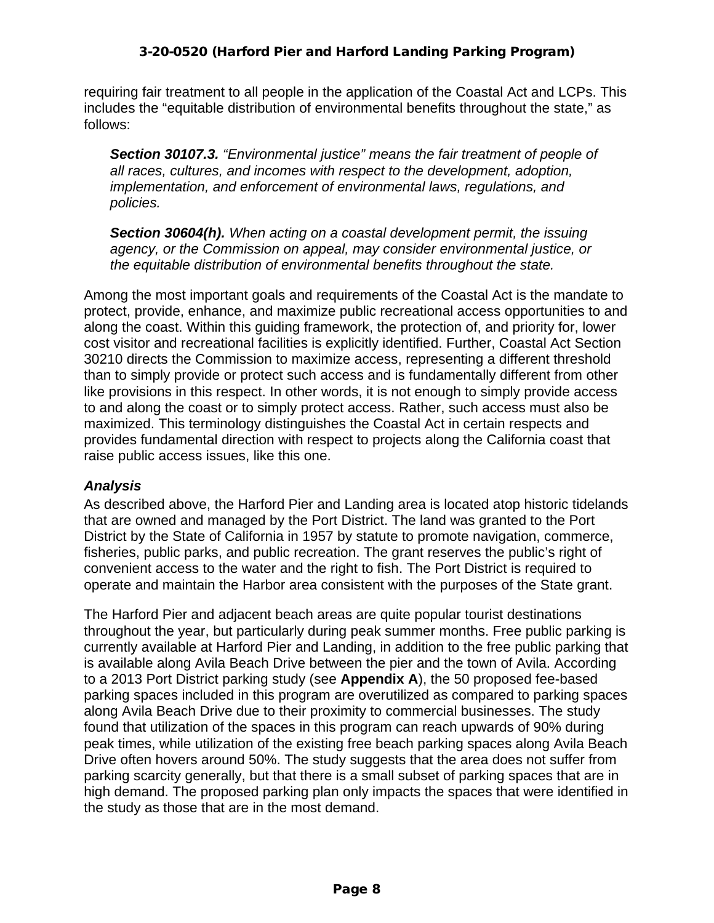requiring fair treatment to all people in the application of the Coastal Act and LCPs. This includes the "equitable distribution of environmental benefits throughout the state," as follows:

*Section 30107.3. "Environmental justice" means the fair treatment of people of all races, cultures, and incomes with respect to the development, adoption, implementation, and enforcement of environmental laws, regulations, and policies.* 

*Section 30604(h). When acting on a coastal development permit, the issuing agency, or the Commission on appeal, may consider environmental justice, or the equitable distribution of environmental benefits throughout the state.* 

Among the most important goals and requirements of the Coastal Act is the mandate to protect, provide, enhance, and maximize public recreational access opportunities to and along the coast. Within this guiding framework, the protection of, and priority for, lower cost visitor and recreational facilities is explicitly identified. Further, Coastal Act Section 30210 directs the Commission to maximize access, representing a different threshold than to simply provide or protect such access and is fundamentally different from other like provisions in this respect. In other words, it is not enough to simply provide access to and along the coast or to simply protect access. Rather, such access must also be maximized. This terminology distinguishes the Coastal Act in certain respects and provides fundamental direction with respect to projects along the California coast that raise public access issues, like this one.

#### *Analysis*

As described above, the Harford Pier and Landing area is located atop historic tidelands that are owned and managed by the Port District. The land was granted to the Port District by the State of California in 1957 by statute to promote navigation, commerce, fisheries, public parks, and public recreation. The grant reserves the public's right of convenient access to the water and the right to fish. The Port District is required to operate and maintain the Harbor area consistent with the purposes of the State grant.

The Harford Pier and adjacent beach areas are quite popular tourist destinations throughout the year, but particularly during peak summer months. Free public parking is currently available at Harford Pier and Landing, in addition to the free public parking that is available along Avila Beach Drive between the pier and the town of Avila. According to a 2013 Port District parking study (see **Appendix A**), the 50 proposed fee-based parking spaces included in this program are overutilized as compared to parking spaces along Avila Beach Drive due to their proximity to commercial businesses. The study found that utilization of the spaces in this program can reach upwards of 90% during peak times, while utilization of the existing free beach parking spaces along Avila Beach Drive often hovers around 50%. The study suggests that the area does not suffer from parking scarcity generally, but that there is a small subset of parking spaces that are in high demand. The proposed parking plan only impacts the spaces that were identified in the study as those that are in the most demand.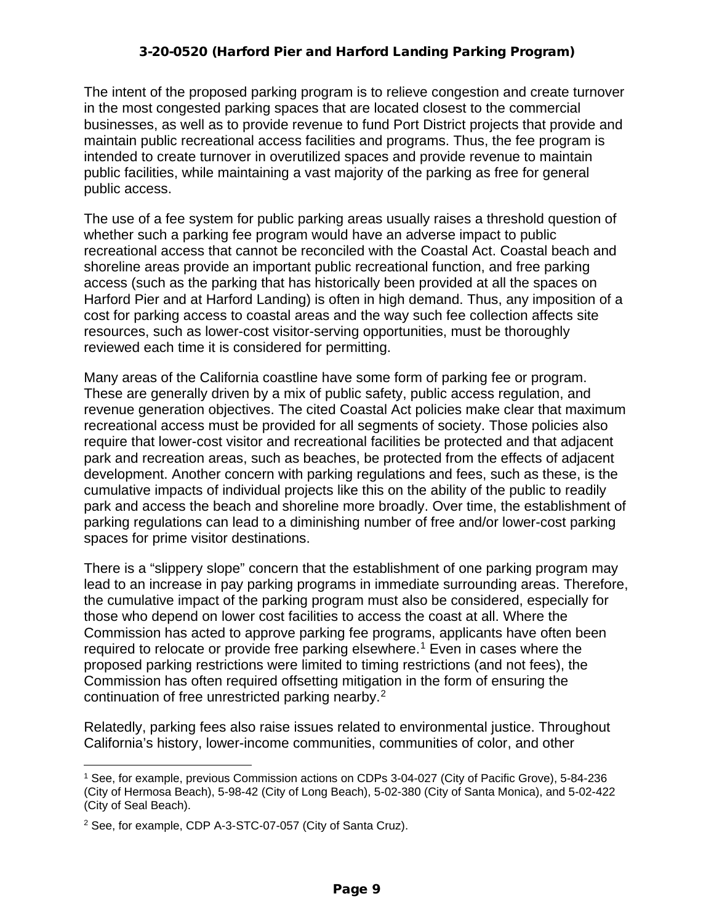The intent of the proposed parking program is to relieve congestion and create turnover in the most congested parking spaces that are located closest to the commercial businesses, as well as to provide revenue to fund Port District projects that provide and maintain public recreational access facilities and programs. Thus, the fee program is intended to create turnover in overutilized spaces and provide revenue to maintain public facilities, while maintaining a vast majority of the parking as free for general public access.

The use of a fee system for public parking areas usually raises a threshold question of whether such a parking fee program would have an adverse impact to public recreational access that cannot be reconciled with the Coastal Act. Coastal beach and shoreline areas provide an important public recreational function, and free parking access (such as the parking that has historically been provided at all the spaces on Harford Pier and at Harford Landing) is often in high demand. Thus, any imposition of a cost for parking access to coastal areas and the way such fee collection affects site resources, such as lower-cost visitor-serving opportunities, must be thoroughly reviewed each time it is considered for permitting.

Many areas of the California coastline have some form of parking fee or program. These are generally driven by a mix of public safety, public access regulation, and revenue generation objectives. The cited Coastal Act policies make clear that maximum recreational access must be provided for all segments of society. Those policies also require that lower-cost visitor and recreational facilities be protected and that adjacent park and recreation areas, such as beaches, be protected from the effects of adjacent development. Another concern with parking regulations and fees, such as these, is the cumulative impacts of individual projects like this on the ability of the public to readily park and access the beach and shoreline more broadly. Over time, the establishment of parking regulations can lead to a diminishing number of free and/or lower-cost parking spaces for prime visitor destinations.

There is a "slippery slope" concern that the establishment of one parking program may lead to an increase in pay parking programs in immediate surrounding areas. Therefore, the cumulative impact of the parking program must also be considered, especially for those who depend on lower cost facilities to access the coast at all. Where the Commission has acted to approve parking fee programs, applicants have often been required to relocate or provide free parking elsewhere.<sup>[1](#page-8-0)</sup> Even in cases where the proposed parking restrictions were limited to timing restrictions (and not fees), the Commission has often required offsetting mitigation in the form of ensuring the continuation of free unrestricted parking nearby.<sup>[2](#page-8-1)</sup>

Relatedly, parking fees also raise issues related to environmental justice. Throughout California's history, lower-income communities, communities of color, and other

<span id="page-8-0"></span><sup>1</sup> See, for example, previous Commission actions on CDPs 3-04-027 (City of Pacific Grove), 5-84-236 (City of Hermosa Beach), 5-98-42 (City of Long Beach), 5-02-380 (City of Santa Monica), and 5-02-422 (City of Seal Beach).

<span id="page-8-1"></span><sup>2</sup> See, for example, CDP A-3-STC-07-057 (City of Santa Cruz).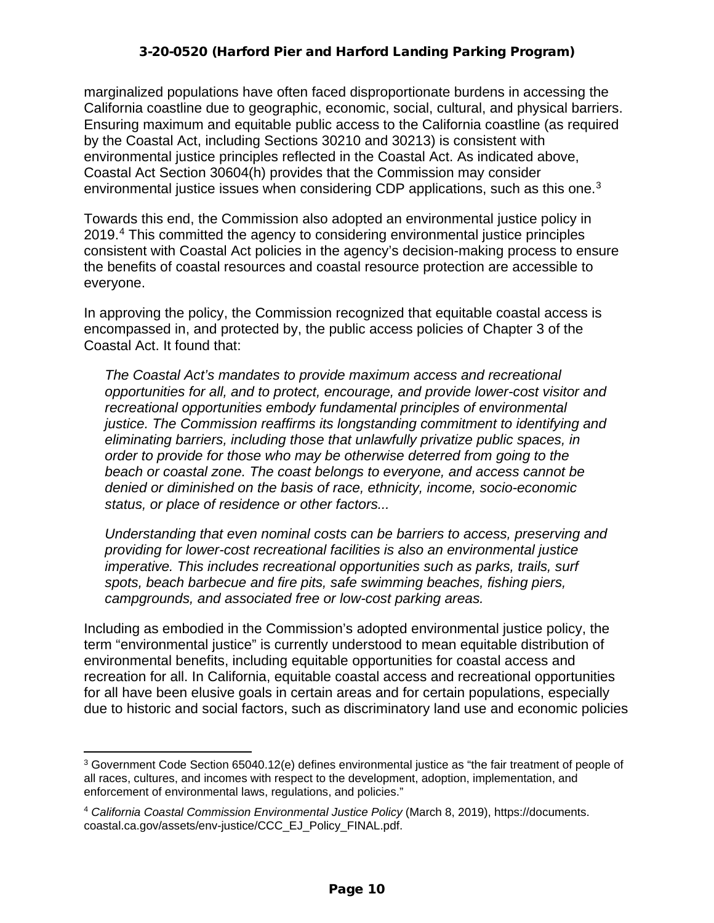marginalized populations have often faced disproportionate burdens in accessing the California coastline due to geographic, economic, social, cultural, and physical barriers. Ensuring maximum and equitable public access to the California coastline (as required by the Coastal Act, including Sections 30210 and 30213) is consistent with environmental justice principles reflected in the Coastal Act. As indicated above, Coastal Act Section 30604(h) provides that the Commission may consider environmental justice issues when considering CDP applications, such as this one.<sup>3</sup>

Towards this end, the Commission also adopted an environmental justice policy in 2019. [4](#page-9-1) This committed the agency to considering environmental justice principles consistent with Coastal Act policies in the agency's decision-making process to ensure the benefits of coastal resources and coastal resource protection are accessible to everyone.

In approving the policy, the Commission recognized that equitable coastal access is encompassed in, and protected by, the public access policies of Chapter 3 of the Coastal Act. It found that:

*The Coastal Act's mandates to provide maximum access and recreational opportunities for all, and to protect, encourage, and provide lower-cost visitor and recreational opportunities embody fundamental principles of environmental justice. The Commission reaffirms its longstanding commitment to identifying and eliminating barriers, including those that unlawfully privatize public spaces, in order to provide for those who may be otherwise deterred from going to the beach or coastal zone. The coast belongs to everyone, and access cannot be denied or diminished on the basis of race, ethnicity, income, socio-economic status, or place of residence or other factors...* 

*Understanding that even nominal costs can be barriers to access, preserving and providing for lower-cost recreational facilities is also an environmental justice imperative. This includes recreational opportunities such as parks, trails, surf spots, beach barbecue and fire pits, safe swimming beaches, fishing piers, campgrounds, and associated free or low-cost parking areas.* 

Including as embodied in the Commission's adopted environmental justice policy, the term "environmental justice" is currently understood to mean equitable distribution of environmental benefits, including equitable opportunities for coastal access and recreation for all. In California, equitable coastal access and recreational opportunities for all have been elusive goals in certain areas and for certain populations, especially due to historic and social factors, such as discriminatory land use and economic policies

<span id="page-9-0"></span> $3$  Government Code Section 65040.12(e) defines environmental justice as "the fair treatment of people of all races, cultures, and incomes with respect to the development, adoption, implementation, and enforcement of environmental laws, regulations, and policies."

<span id="page-9-1"></span><sup>4</sup> *California Coastal Commission Environmental Justice Policy* (March 8, 2019), https://documents. coastal.ca.gov/assets/env-justice/CCC\_EJ\_Policy\_FINAL.pdf.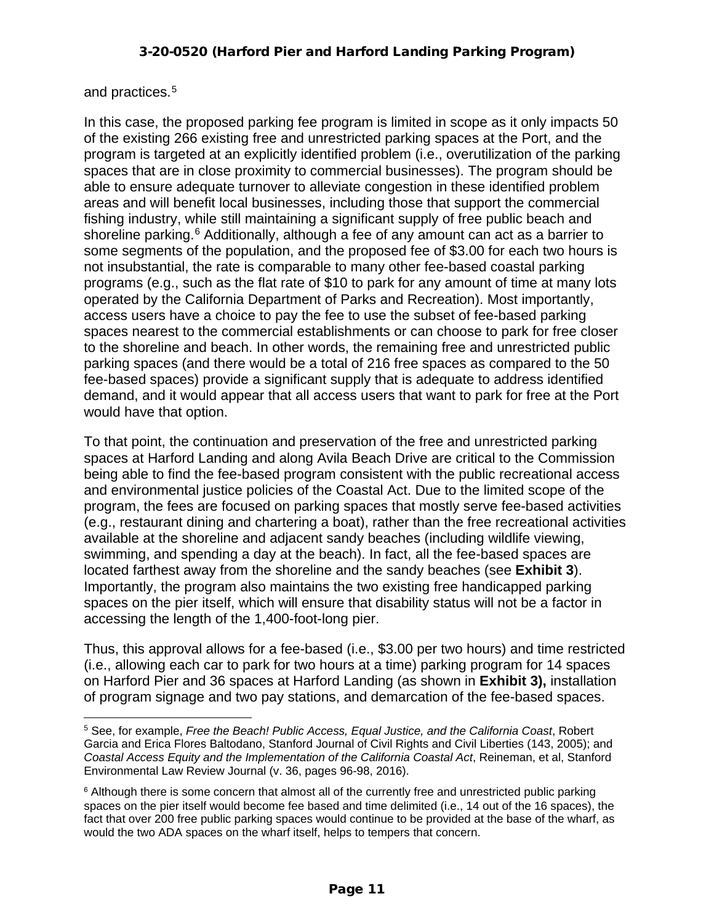#### and practices.[5](#page-10-0)

In this case, the proposed parking fee program is limited in scope as it only impacts 50 of the existing 266 existing free and unrestricted parking spaces at the Port, and the program is targeted at an explicitly identified problem (i.e., overutilization of the parking spaces that are in close proximity to commercial businesses). The program should be able to ensure adequate turnover to alleviate congestion in these identified problem areas and will benefit local businesses, including those that support the commercial fishing industry, while still maintaining a significant supply of free public beach and shoreline parking.<sup>[6](#page-10-1)</sup> Additionally, although a fee of any amount can act as a barrier to some segments of the population, and the proposed fee of \$3.00 for each two hours is not insubstantial, the rate is comparable to many other fee-based coastal parking programs (e.g., such as the flat rate of \$10 to park for any amount of time at many lots operated by the California Department of Parks and Recreation). Most importantly, access users have a choice to pay the fee to use the subset of fee-based parking spaces nearest to the commercial establishments or can choose to park for free closer to the shoreline and beach. In other words, the remaining free and unrestricted public parking spaces (and there would be a total of 216 free spaces as compared to the 50 fee-based spaces) provide a significant supply that is adequate to address identified demand, and it would appear that all access users that want to park for free at the Port would have that option.

To that point, the continuation and preservation of the free and unrestricted parking spaces at Harford Landing and along Avila Beach Drive are critical to the Commission being able to find the fee-based program consistent with the public recreational access and environmental justice policies of the Coastal Act. Due to the limited scope of the program, the fees are focused on parking spaces that mostly serve fee-based activities (e.g., restaurant dining and chartering a boat), rather than the free recreational activities available at the shoreline and adjacent sandy beaches (including wildlife viewing, swimming, and spending a day at the beach). In fact, all the fee-based spaces are located farthest away from the shoreline and the sandy beaches (see **Exhibit 3**). Importantly, the program also maintains the two existing free handicapped parking spaces on the pier itself, which will ensure that disability status will not be a factor in accessing the length of the 1,400-foot-long pier.

Thus, this approval allows for a fee-based (i.e., \$3.00 per two hours) and time restricted (i.e., allowing each car to park for two hours at a time) parking program for 14 spaces on Harford Pier and 36 spaces at Harford Landing (as shown in **Exhibit 3),** installation of program signage and two pay stations, and demarcation of the fee-based spaces.

<span id="page-10-0"></span><sup>5</sup> See, for example, *Free the Beach! Public Access, Equal Justice, and the California Coast*, Robert Garcia and Erica Flores Baltodano, Stanford Journal of Civil Rights and Civil Liberties (143, 2005); and *Coastal Access Equity and the Implementation of the California Coastal Act*, Reineman, et al, Stanford Environmental Law Review Journal (v. 36, pages 96-98, 2016).

<span id="page-10-1"></span><sup>&</sup>lt;sup>6</sup> Although there is some concern that almost all of the currently free and unrestricted public parking spaces on the pier itself would become fee based and time delimited (i.e., 14 out of the 16 spaces), the fact that over 200 free public parking spaces would continue to be provided at the base of the wharf, as would the two ADA spaces on the wharf itself, helps to tempers that concern.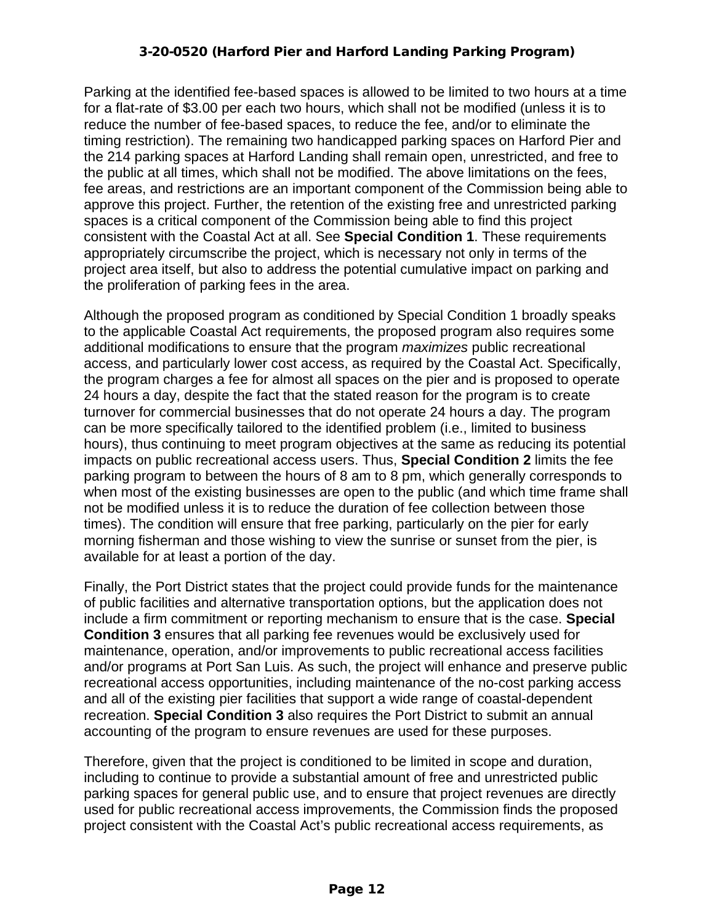Parking at the identified fee-based spaces is allowed to be limited to two hours at a time for a flat-rate of \$3.00 per each two hours, which shall not be modified (unless it is to reduce the number of fee-based spaces, to reduce the fee, and/or to eliminate the timing restriction). The remaining two handicapped parking spaces on Harford Pier and the 214 parking spaces at Harford Landing shall remain open, unrestricted, and free to the public at all times, which shall not be modified. The above limitations on the fees, fee areas, and restrictions are an important component of the Commission being able to approve this project. Further, the retention of the existing free and unrestricted parking spaces is a critical component of the Commission being able to find this project consistent with the Coastal Act at all. See **Special Condition 1**. These requirements appropriately circumscribe the project, which is necessary not only in terms of the project area itself, but also to address the potential cumulative impact on parking and the proliferation of parking fees in the area.

Although the proposed program as conditioned by Special Condition 1 broadly speaks to the applicable Coastal Act requirements, the proposed program also requires some additional modifications to ensure that the program *maximizes* public recreational access, and particularly lower cost access, as required by the Coastal Act. Specifically, the program charges a fee for almost all spaces on the pier and is proposed to operate 24 hours a day, despite the fact that the stated reason for the program is to create turnover for commercial businesses that do not operate 24 hours a day. The program can be more specifically tailored to the identified problem (i.e., limited to business hours), thus continuing to meet program objectives at the same as reducing its potential impacts on public recreational access users. Thus, **Special Condition 2** limits the fee parking program to between the hours of 8 am to 8 pm, which generally corresponds to when most of the existing businesses are open to the public (and which time frame shall not be modified unless it is to reduce the duration of fee collection between those times). The condition will ensure that free parking, particularly on the pier for early morning fisherman and those wishing to view the sunrise or sunset from the pier, is available for at least a portion of the day.

Finally, the Port District states that the project could provide funds for the maintenance of public facilities and alternative transportation options, but the application does not include a firm commitment or reporting mechanism to ensure that is the case. **Special Condition 3** ensures that all parking fee revenues would be exclusively used for maintenance, operation, and/or improvements to public recreational access facilities and/or programs at Port San Luis. As such, the project will enhance and preserve public recreational access opportunities, including maintenance of the no-cost parking access and all of the existing pier facilities that support a wide range of coastal-dependent recreation. **Special Condition 3** also requires the Port District to submit an annual accounting of the program to ensure revenues are used for these purposes.

Therefore, given that the project is conditioned to be limited in scope and duration, including to continue to provide a substantial amount of free and unrestricted public parking spaces for general public use, and to ensure that project revenues are directly used for public recreational access improvements, the Commission finds the proposed project consistent with the Coastal Act's public recreational access requirements, as